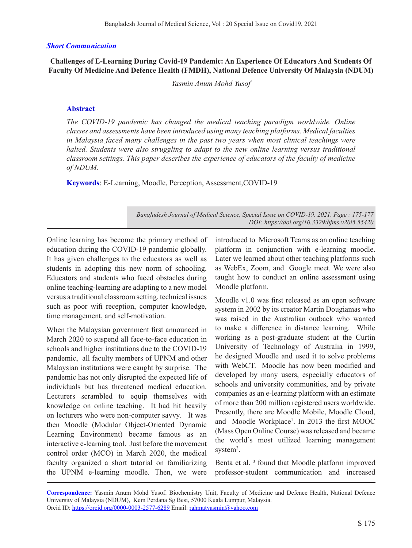#### *Short Communication*

**Challenges of E-Learning During Covid-19 Pandemic: An Experience Of Educators And Students Of Faculty Of Medicine And Defence Health (FMDH), National Defence University Of Malaysia (NDUM)**

*Yasmin Anum Mohd Yusof* 

#### **Abstract**

*The COVID-19 pandemic has changed the medical teaching paradigm worldwide. Online classes and assessments have been introduced using many teaching platforms. Medical faculties in Malaysia faced many challenges in the past two years when most clinical teachings were halted. Students were also struggling to adapt to the new online learning versus traditional classroom settings. This paper describes the experience of educators of the faculty of medicine of NDUM.*

**Keywords**: E-Learning, Moodle, Perception, Assessment,COVID-19

*Bangladesh Journal of Medical Science, Special Issue on COVID-19. 2021. Page : 175-177 DOI: https://doi.org/10.3329/bjms.v20i5.55420* 

Online learning has become the primary method of education during the COVID-19 pandemic globally. It has given challenges to the educators as well as students in adopting this new norm of schooling. Educators and students who faced obstacles during online teaching-learning are adapting to a new model versus a traditional classroom setting, technical issues such as poor wifi reception, computer knowledge, time management, and self-motivation.

When the Malaysian government first announced in March 2020 to suspend all face-to-face education in schools and higher institutions due to the COVID-19 pandemic, all faculty members of UPNM and other Malaysian institutions were caught by surprise. The pandemic has not only disrupted the expected life of individuals but has threatened medical education. Lecturers scrambled to equip themselves with knowledge on online teaching. It had hit heavily on lecturers who were non-computer savvy. It was then Moodle (Modular Object-Oriented Dynamic Learning Environment) became famous as an interactive e-learning tool. Just before the movement control order (MCO) in March 2020, the medical faculty organized a short tutorial on familiarizing the UPNM e-learning moodle. Then, we were introduced to Microsoft Teams as an online teaching platform in conjunction with e-learning moodle. Later we learned about other teaching platforms such as WebEx, Zoom, and Google meet. We were also taught how to conduct an online assessment using Moodle platform.

Moodle v1.0 was first released as an open software system in 2002 by its creator Martin Dougiamas who was raised in the Australian outback who wanted to make a difference in distance learning. While working as a post-graduate student at the Curtin University of Technology of Australia in 1999, he designed Moodle and used it to solve problems with WebCT. Moodle has now been modified and developed by many users, especially educators of schools and university communities, and by private companies as an e-learning platform with an estimate of more than 200 million registered users worldwide. Presently, there are Moodle Mobile, Moodle Cloud, and Moodle Workplace<sup>1</sup>. In 2013 the first MOOC (Mass Open Online Course) was released and became the world's most utilized learning management system<sup>2</sup>.

Benta et al. 3 found that Moodle platform improved professor-student communication and increased

**Correspondence:** Yasmin Anum Mohd Yusof. Biochemistry Unit, Faculty of Medicine and Defence Health, National Defence University of Malaysia (NDUM), Kem Perdana Sg Besi, 57000 Kuala Lumpur, Malaysia. Orcid ID: https://orcid.org/0000-0003-2577-6289 Email: rahmatyasmin@yahoo.com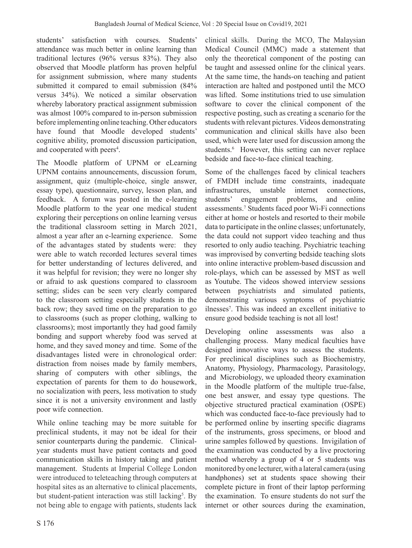students' satisfaction with courses. Students' attendance was much better in online learning than traditional lectures (96% versus 83%). They also observed that Moodle platform has proven helpful for assignment submission, where many students submitted it compared to email submission (84% versus 34%). We noticed a similar observation whereby laboratory practical assignment submission was almost 100% compared to in-person submission before implementing online teaching. Other educators have found that Moodle developed students' cognitive ability, promoted discussion participation, and cooperated with peers<sup>4</sup>.

The Moodle platform of UPNM or eLearning UPNM contains announcements, discussion forum, assignment, quiz (multiple-choice, single answer, essay type), questionnaire, survey, lesson plan, and feedback. A forum was posted in the e-learning Moodle platform to the year one medical student exploring their perceptions on online learning versus the traditional classroom setting in March 2021, almost a year after an e-learning experience. Some of the advantages stated by students were: they were able to watch recorded lectures several times for better understanding of lectures delivered, and it was helpful for revision; they were no longer shy or afraid to ask questions compared to classroom setting; slides can be seen very clearly compared to the classroom setting especially students in the back row; they saved time on the preparation to go to classrooms (such as proper clothing, walking to classrooms); most importantly they had good family bonding and support whereby food was served at home, and they saved money and time. Some of the disadvantages listed were in chronological order: distraction from noises made by family members, sharing of computers with other siblings, the expectation of parents for them to do housework, no socialization with peers, less motivation to study since it is not a university environment and lastly poor wife connection.

While online teaching may be more suitable for preclinical students, it may not be ideal for their senior counterparts during the pandemic. Clinicalyear students must have patient contacts and good communication skills in history taking and patient management. Students at Imperial College London were introduced to teleteaching through computers at hospital sites as an alternative to clinical placements, but student-patient interaction was still lacking<sup>5</sup>. By not being able to engage with patients, students lack

clinical skills. During the MCO, The Malaysian Medical Council (MMC) made a statement that only the theoretical component of the posting can be taught and assessed online for the clinical years. At the same time, the hands-on teaching and patient interaction are halted and postponed until the MCO was lifted. Some institutions tried to use simulation software to cover the clinical component of the respective posting, such as creating a scenario for the students with relevant pictures. Videos demonstrating communication and clinical skills have also been used, which were later used for discussion among the students.<sup>6</sup> However, this setting can never replace bedside and face-to-face clinical teaching.

Some of the challenges faced by clinical teachers of FMDH include time constraints, inadequate infrastructures, unstable internet connections, students' engagement problems, and online assessments.7 Students faced poor Wi-Fi connections either at home or hostels and resorted to their mobile data to participate in the online classes; unfortunately, the data could not support video teaching and thus resorted to only audio teaching. Psychiatric teaching was improvised by converting bedside teaching slots into online interactive problem-based discussion and role-plays, which can be assessed by MST as well as Youtube. The videos showed interview sessions between psychiatrists and simulated patients, demonstrating various symptoms of psychiatric ilnesses7 . This was indeed an excellent initiative to ensure good bedside teaching is not all lost!

Developing online assessments was also a challenging process. Many medical faculties have designed innovative ways to assess the students. For preclinical disciplines such as Biochemistry, Anatomy, Physiology, Pharmacology, Parasitology, and Microbiology, we uploaded theory examination in the Moodle platform of the multiple true-false, one best answer, and essay type questions. The objective structured practical examination (OSPE) which was conducted face-to-face previously had to be performed online by inserting specific diagrams of the instruments, gross specimens, or blood and urine samples followed by questions. Invigilation of the examination was conducted by a live proctoring method whereby a group of 4 or 5 students was monitored by one lecturer, with a lateral camera (using handphones) set at students space showing their complete picture in front of their laptop performing the examination. To ensure students do not surf the internet or other sources during the examination,